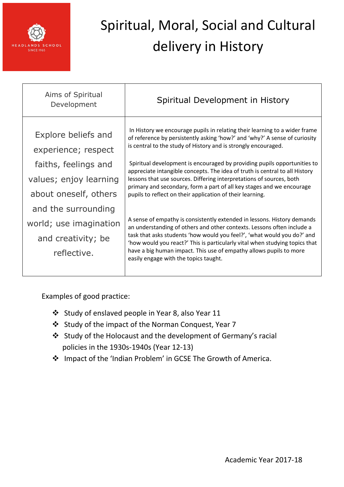

| Aims of Spiritual<br>Development                                                   | Spiritual Development in History                                                                                                                                                                                                                                                                                                                                                                                           |
|------------------------------------------------------------------------------------|----------------------------------------------------------------------------------------------------------------------------------------------------------------------------------------------------------------------------------------------------------------------------------------------------------------------------------------------------------------------------------------------------------------------------|
| Explore beliefs and<br>experience; respect                                         | In History we encourage pupils in relating their learning to a wider frame<br>of reference by persistently asking 'how?' and 'why?' A sense of curiosity<br>is central to the study of History and is strongly encouraged.                                                                                                                                                                                                 |
| faiths, feelings and<br>values; enjoy learning<br>about oneself, others            | Spiritual development is encouraged by providing pupils opportunities to<br>appreciate intangible concepts. The idea of truth is central to all History<br>lessons that use sources. Differing interpretations of sources, both<br>primary and secondary, form a part of all key stages and we encourage<br>pupils to reflect on their application of their learning.                                                      |
| and the surrounding<br>world; use imagination<br>and creativity; be<br>reflective. | A sense of empathy is consistently extended in lessons. History demands<br>an understanding of others and other contexts. Lessons often include a<br>task that asks students 'how would you feel?', 'what would you do?' and<br>'how would you react?' This is particularly vital when studying topics that<br>have a big human impact. This use of empathy allows pupils to more<br>easily engage with the topics taught. |

- Study of enslaved people in Year 8, also Year 11
- Study of the impact of the Norman Conquest, Year 7
- Study of the Holocaust and the development of Germany's racial policies in the 1930s-1940s (Year 12-13)
- Impact of the 'Indian Problem' in GCSE The Growth of America.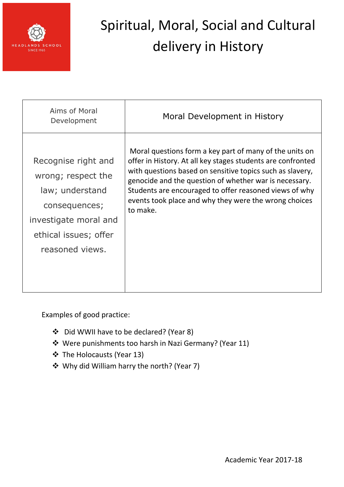

| Aims of Moral<br>Development | Moral Development in History                                |
|------------------------------|-------------------------------------------------------------|
| Recognise right and          | Moral questions form a key part of many of the units on     |
| wrong; respect the           | offer in History. At all key stages students are confronted |
| law; understand              | with questions based on sensitive topics such as slavery,   |
| consequences;                | genocide and the question of whether war is necessary.      |
| investigate moral and        | Students are encouraged to offer reasoned views of why      |
| ethical issues; offer        | events took place and why they were the wrong choices       |
| reasoned views.              | to make.                                                    |

- Did WWII have to be declared? (Year 8)
- Were punishments too harsh in Nazi Germany? (Year 11)
- The Holocausts (Year 13)
- Why did William harry the north? (Year 7)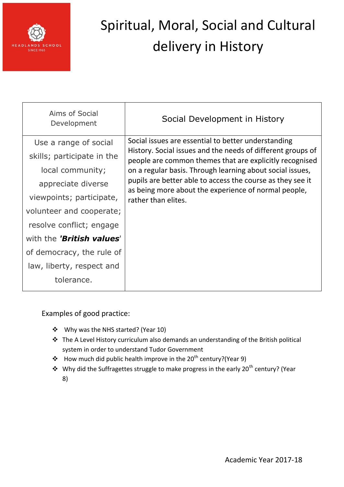

| Aims of Social<br>Development | Social Development in History                                                                                                                                                                                                                                                                                                                                    |
|-------------------------------|------------------------------------------------------------------------------------------------------------------------------------------------------------------------------------------------------------------------------------------------------------------------------------------------------------------------------------------------------------------|
| Use a range of social         | Social issues are essential to better understanding<br>History. Social issues and the needs of different groups of<br>people are common themes that are explicitly recognised<br>on a regular basis. Through learning about social issues,<br>pupils are better able to access the course as they see it<br>as being more about the experience of normal people, |
| skills; participate in the    |                                                                                                                                                                                                                                                                                                                                                                  |
| local community;              |                                                                                                                                                                                                                                                                                                                                                                  |
| appreciate diverse            |                                                                                                                                                                                                                                                                                                                                                                  |
| viewpoints; participate,      | rather than elites.                                                                                                                                                                                                                                                                                                                                              |
| volunteer and cooperate;      |                                                                                                                                                                                                                                                                                                                                                                  |
| resolve conflict; engage      |                                                                                                                                                                                                                                                                                                                                                                  |
| with the 'British values'     |                                                                                                                                                                                                                                                                                                                                                                  |
| of democracy, the rule of     |                                                                                                                                                                                                                                                                                                                                                                  |
| law, liberty, respect and     |                                                                                                                                                                                                                                                                                                                                                                  |
| tolerance.                    |                                                                                                                                                                                                                                                                                                                                                                  |

- Why was the NHS started? (Year 10)
- The A Level History curriculum also demands an understanding of the British political system in order to understand Tudor Government
- How much did public health improve in the 20<sup>th</sup> century?(Year 9)
- $\cdot \cdot$  Why did the Suffragettes struggle to make progress in the early 20<sup>th</sup> century? (Year 8)